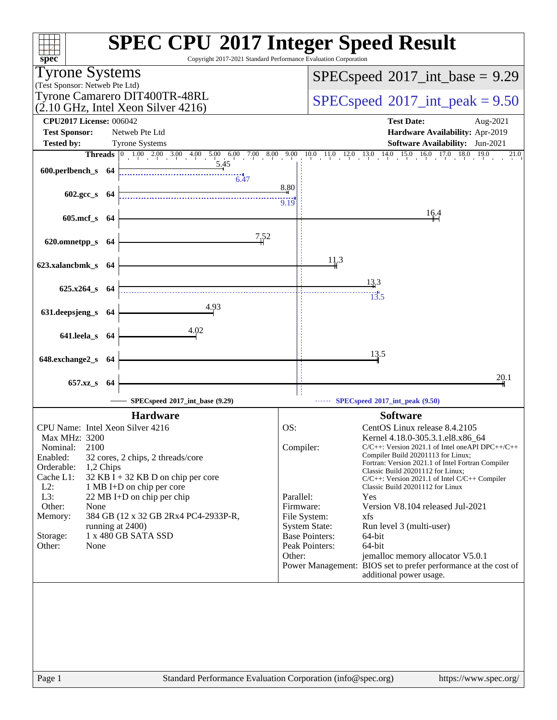| $spec^*$                                                                              | <b>SPEC CPU®2017 Integer Speed Result</b><br>Copyright 2017-2021 Standard Performance Evaluation Corporation               |
|---------------------------------------------------------------------------------------|----------------------------------------------------------------------------------------------------------------------------|
| <b>Tyrone Systems</b>                                                                 | $SPEC speed^{\circ}2017\_int\_base = 9.29$                                                                                 |
| (Test Sponsor: Netweb Pte Ltd)                                                        |                                                                                                                            |
| Tyrone Camarero DIT400TR-48RL<br>$(2.10 \text{ GHz}, \text{Intel Xeon Silver } 4216)$ | $SPEC speed^{\circ}2017\_int\_peak = 9.50$                                                                                 |
| <b>CPU2017 License: 006042</b>                                                        | <b>Test Date:</b><br>Aug-2021                                                                                              |
| <b>Test Sponsor:</b><br>Netweb Pte Ltd                                                | Hardware Availability: Apr-2019                                                                                            |
| <b>Tested by:</b><br><b>Tyrone Systems</b>                                            | <b>Software Availability:</b> Jun-2021                                                                                     |
| <u>5.45</u>                                                                           | <b>Threads</b> 0 1.00 2.00 3.00 4.00 5.00 6.00 7.00 8.00 9.00 10.0 11.0 12.0 13.0 14.0 15.0 16.0 17.0 18.0<br>19.0<br>21.0 |
| 600.perlbench_s 64<br>6.47                                                            |                                                                                                                            |
|                                                                                       | 8.80                                                                                                                       |
| $602.\text{gcc s}$ 64                                                                 | 9.19                                                                                                                       |
| 605.mcf_s 64                                                                          | 16.4                                                                                                                       |
|                                                                                       |                                                                                                                            |
| 7,52<br>620.omnetpp_s<br>- 64                                                         |                                                                                                                            |
|                                                                                       |                                                                                                                            |
| 623.xalancbmk_s 64                                                                    | 11.3                                                                                                                       |
|                                                                                       | 13.3                                                                                                                       |
| $625.x264$ <sub>S</sub> $64$                                                          | $\overline{13.5}$                                                                                                          |
| 4.93                                                                                  |                                                                                                                            |
| 631.deepsjeng_s 64                                                                    |                                                                                                                            |
| 4.02<br>641.leela_s 64                                                                |                                                                                                                            |
|                                                                                       |                                                                                                                            |
| 648.exchange2_s 64                                                                    | 13.5                                                                                                                       |
|                                                                                       |                                                                                                                            |
| 657.xz_s<br>- 64                                                                      | 20.1                                                                                                                       |
| SPECspeed®2017_int_base (9.29)                                                        | SPECspeed®2017_int_peak (9.50)                                                                                             |
| <b>Hardware</b>                                                                       | <b>Software</b>                                                                                                            |
| CPU Name: Intel Xeon Silver 4216                                                      | OS:<br>CentOS Linux release 8.4.2105                                                                                       |
| Max MHz: 3200                                                                         | Kernel 4.18.0-305.3.1.el8.x86_64                                                                                           |
| 2100<br>Nominal:<br>Enabled:<br>32 cores, 2 chips, 2 threads/core                     | Compiler:<br>$C/C++$ : Version 2021.1 of Intel one API DPC++/C++<br>Compiler Build 20201113 for Linux;                     |
| Orderable:<br>1,2 Chips                                                               | Fortran: Version 2021.1 of Intel Fortran Compiler<br>Classic Build 20201112 for Linux;                                     |
| Cache L1:<br>32 KB I + 32 KB D on chip per core                                       | $C/C++$ : Version 2021.1 of Intel $C/C++$ Compiler                                                                         |
| $L2$ :<br>1 MB I+D on chip per core<br>L3:<br>22 MB I+D on chip per chip              | Classic Build 20201112 for Linux<br>Parallel:<br>Yes                                                                       |
| Other:<br>None                                                                        | Firmware:<br>Version V8.104 released Jul-2021                                                                              |
| Memory:<br>384 GB (12 x 32 GB 2Rx4 PC4-2933P-R,                                       | File System:<br>xfs                                                                                                        |
| running at 2400)<br>1 x 480 GB SATA SSD<br>Storage:                                   | <b>System State:</b><br>Run level 3 (multi-user)<br><b>Base Pointers:</b><br>64-bit                                        |
| Other:<br>None                                                                        | Peak Pointers:<br>64-bit                                                                                                   |
|                                                                                       | Other:<br>jemalloc memory allocator V5.0.1                                                                                 |
|                                                                                       | Power Management: BIOS set to prefer performance at the cost of<br>additional power usage.                                 |
|                                                                                       |                                                                                                                            |
|                                                                                       |                                                                                                                            |
|                                                                                       |                                                                                                                            |
|                                                                                       |                                                                                                                            |
|                                                                                       |                                                                                                                            |
|                                                                                       |                                                                                                                            |
|                                                                                       |                                                                                                                            |
| Page 1                                                                                | Standard Performance Evaluation Corporation (info@spec.org)<br>https://www.spec.org/                                       |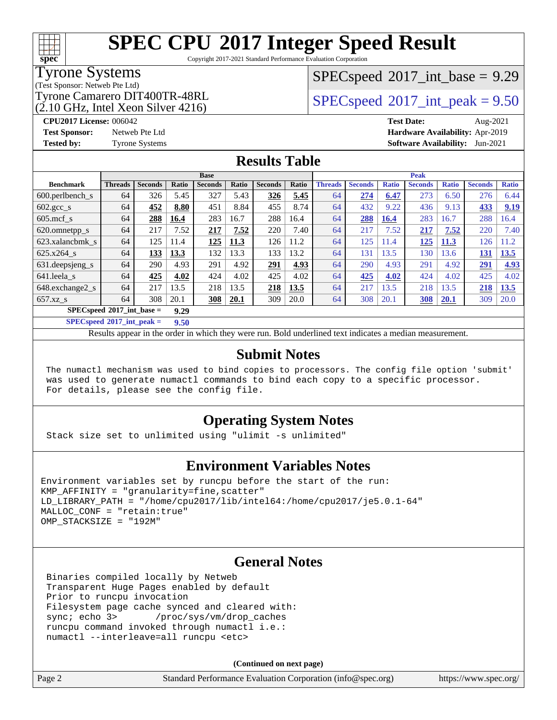Copyright 2017-2021 Standard Performance Evaluation Corporation

#### Tyrone Systems

**[spec](http://www.spec.org/)**

(Test Sponsor: Netweb Pte Ltd)

 $(2.10 \text{ GHz}, \text{Intel Xeon Silver } 4216)$ 

 $SPECspeed^{\circledcirc}2017\_int\_base = 9.29$  $SPECspeed^{\circledcirc}2017\_int\_base = 9.29$ 

Tyrone Camarero DIT400TR-48RL  $\begin{array}{c|c}\n\text{SPEC speed} \textcirc 2017\n\text{ int } peak = 9.50\n\end{array}$ 

**[CPU2017 License:](http://www.spec.org/auto/cpu2017/Docs/result-fields.html#CPU2017License)** 006042 **[Test Date:](http://www.spec.org/auto/cpu2017/Docs/result-fields.html#TestDate)** Aug-2021 **[Test Sponsor:](http://www.spec.org/auto/cpu2017/Docs/result-fields.html#TestSponsor)** Netweb Pte Ltd **[Hardware Availability:](http://www.spec.org/auto/cpu2017/Docs/result-fields.html#HardwareAvailability)** Apr-2019 **[Tested by:](http://www.spec.org/auto/cpu2017/Docs/result-fields.html#Testedby)** Tyrone Systems **[Software Availability:](http://www.spec.org/auto/cpu2017/Docs/result-fields.html#SoftwareAvailability)** Jun-2021

#### **[Results Table](http://www.spec.org/auto/cpu2017/Docs/result-fields.html#ResultsTable)**

| <b>Base</b>                         |                |                |       |                | <b>Peak</b> |                |       |                |                |              |                |              |                |              |
|-------------------------------------|----------------|----------------|-------|----------------|-------------|----------------|-------|----------------|----------------|--------------|----------------|--------------|----------------|--------------|
| <b>Benchmark</b>                    | <b>Threads</b> | <b>Seconds</b> | Ratio | <b>Seconds</b> | Ratio       | <b>Seconds</b> | Ratio | <b>Threads</b> | <b>Seconds</b> | <b>Ratio</b> | <b>Seconds</b> | <b>Ratio</b> | <b>Seconds</b> | <b>Ratio</b> |
| $600.$ perlbench $\mathsf{S}$       | 64             | 326            | 5.45  | 327            | 5.43        | 326            | 5.45  | 64             | 274            | 6.47         | 273            | 6.50         | 276            | 6.44         |
| 602.gcc_s                           | 64             | 452            | 8.80  | 451            | 8.84        | 455            | 8.74  | 64             | 432            | 9.22         | 436            | 9.13         | 433            | 9.19         |
| $605$ .mcf s                        | 64             | 288            | 16.4  | 283            | 16.7        | 288            | 16.4  | 64             | 288            | 16.4         | 283            | 16.7         | 288            | 16.4         |
| 620.omnetpp_s                       | 64             | 217            | 7.52  | 217            | 7.52        | 220            | 7.40  | 64             | 217            | 7.52         | 217            | 7.52         | 220            | 7.40         |
| 623.xalancbmk s                     | 64             | 125            | 11.4  | 125            | 11.3        | 126            | 11.2  | 64             | 125            | 11.4         | <u> 125</u>    | 11.3         | 126            | 1.2          |
| 625.x264 s                          | 64             | 133            | 13.3  | 132            | 13.3        | 133            | 13.2  | 64             | 131            | 13.5         | 130            | 13.6         | 131            | 13.5         |
| 631.deepsjeng_s                     | 64             | 290            | 4.93  | 291            | 4.92        | 291            | 4.93  | 64             | 290            | 4.93         | 291            | 4.92         | 291            | 4.93         |
| 641.leela s                         | 64             | 425            | 4.02  | 424            | 4.02        | 425            | 4.02  | 64             | 425            | 4.02         | 424            | 4.02         | 425            | 4.02         |
| 648.exchange2_s                     | 64             | 217            | 13.5  | 218            | 13.5        | 218            | 13.5  | 64             | 217            | 13.5         | 218            | 13.5         | 218            | 13.5         |
| $657.xz$ s                          | 64             | 308            | 20.1  | <u>308</u>     | <b>20.1</b> | 309            | 20.0  | 64             | 308            | 20.1         | <b>308</b>     | 20.1         | 309            | 20.0         |
| $SPECspeed^{\circ 2017}$ int base = |                |                | 9.29  |                |             |                |       |                |                |              |                |              |                |              |

**[SPECspeed](http://www.spec.org/auto/cpu2017/Docs/result-fields.html#SPECspeed2017intpeak)[2017\\_int\\_peak =](http://www.spec.org/auto/cpu2017/Docs/result-fields.html#SPECspeed2017intpeak) 9.50**

Results appear in the [order in which they were run.](http://www.spec.org/auto/cpu2017/Docs/result-fields.html#RunOrder) Bold underlined text [indicates a median measurement](http://www.spec.org/auto/cpu2017/Docs/result-fields.html#Median).

#### **[Submit Notes](http://www.spec.org/auto/cpu2017/Docs/result-fields.html#SubmitNotes)**

 The numactl mechanism was used to bind copies to processors. The config file option 'submit' was used to generate numactl commands to bind each copy to a specific processor. For details, please see the config file.

#### **[Operating System Notes](http://www.spec.org/auto/cpu2017/Docs/result-fields.html#OperatingSystemNotes)**

Stack size set to unlimited using "ulimit -s unlimited"

#### **[Environment Variables Notes](http://www.spec.org/auto/cpu2017/Docs/result-fields.html#EnvironmentVariablesNotes)**

```
Environment variables set by runcpu before the start of the run:
KMP AFFINITY = "granularity=fine, scatter"
LD_LIBRARY_PATH = "/home/cpu2017/lib/intel64:/home/cpu2017/je5.0.1-64"
MALLOC_CONF = "retain:true"
OMP_STACKSIZE = "192M"
```
#### **[General Notes](http://www.spec.org/auto/cpu2017/Docs/result-fields.html#GeneralNotes)**

 Binaries compiled locally by Netweb Transparent Huge Pages enabled by default Prior to runcpu invocation Filesystem page cache synced and cleared with: sync; echo 3> /proc/sys/vm/drop\_caches runcpu command invoked through numactl i.e.: numactl --interleave=all runcpu <etc>

**(Continued on next page)**

| ige |  |
|-----|--|
|-----|--|

Page 2 Standard Performance Evaluation Corporation [\(info@spec.org\)](mailto:info@spec.org) <https://www.spec.org/>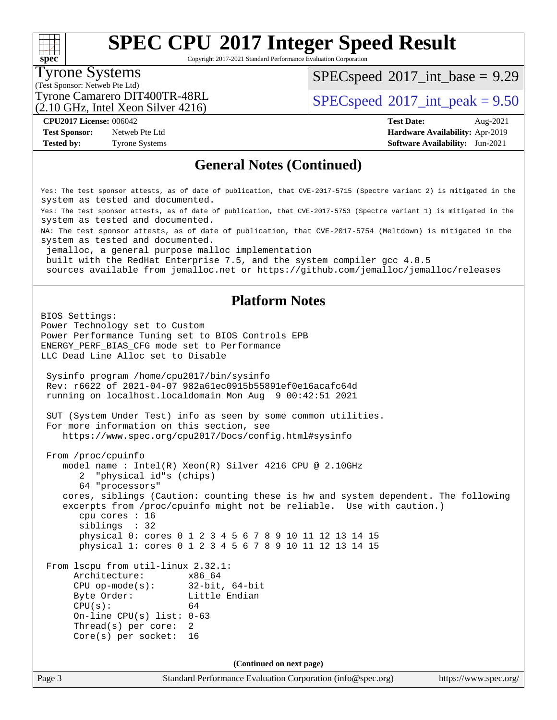Copyright 2017-2021 Standard Performance Evaluation Corporation

### Tyrone Systems

**[spec](http://www.spec.org/)**

(Test Sponsor: Netweb Pte Ltd)

 $SPECspeed^{\circ}2017\_int\_base = 9.29$  $SPECspeed^{\circ}2017\_int\_base = 9.29$ 

Tyrone Camarero DIT400TR-48RL  $\vert$  [SPECspeed](http://www.spec.org/auto/cpu2017/Docs/result-fields.html#SPECspeed2017intpeak)®[2017\\_int\\_peak = 9](http://www.spec.org/auto/cpu2017/Docs/result-fields.html#SPECspeed2017intpeak).50

**[Test Sponsor:](http://www.spec.org/auto/cpu2017/Docs/result-fields.html#TestSponsor)** Netweb Pte Ltd **[Hardware Availability:](http://www.spec.org/auto/cpu2017/Docs/result-fields.html#HardwareAvailability)** Apr-2019

(2.10 GHz, Intel Xeon Silver 4216)

**[CPU2017 License:](http://www.spec.org/auto/cpu2017/Docs/result-fields.html#CPU2017License)** 006042 **[Test Date:](http://www.spec.org/auto/cpu2017/Docs/result-fields.html#TestDate)** Aug-2021 **[Tested by:](http://www.spec.org/auto/cpu2017/Docs/result-fields.html#Testedby)** Tyrone Systems **[Software Availability:](http://www.spec.org/auto/cpu2017/Docs/result-fields.html#SoftwareAvailability)** Jun-2021

#### **[General Notes \(Continued\)](http://www.spec.org/auto/cpu2017/Docs/result-fields.html#GeneralNotes)**

Yes: The test sponsor attests, as of date of publication, that CVE-2017-5715 (Spectre variant 2) is mitigated in the system as tested and documented.

Yes: The test sponsor attests, as of date of publication, that CVE-2017-5753 (Spectre variant 1) is mitigated in the system as tested and documented.

NA: The test sponsor attests, as of date of publication, that CVE-2017-5754 (Meltdown) is mitigated in the system as tested and documented.

jemalloc, a general purpose malloc implementation

built with the RedHat Enterprise 7.5, and the system compiler gcc 4.8.5

sources available from jemalloc.net or<https://github.com/jemalloc/jemalloc/releases>

#### **[Platform Notes](http://www.spec.org/auto/cpu2017/Docs/result-fields.html#PlatformNotes)**

BIOS Settings: Power Technology set to Custom Power Performance Tuning set to BIOS Controls EPB ENERGY\_PERF\_BIAS\_CFG mode set to Performance LLC Dead Line Alloc set to Disable Sysinfo program /home/cpu2017/bin/sysinfo Rev: r6622 of 2021-04-07 982a61ec0915b55891ef0e16acafc64d running on localhost.localdomain Mon Aug 9 00:42:51 2021 SUT (System Under Test) info as seen by some common utilities. For more information on this section, see <https://www.spec.org/cpu2017/Docs/config.html#sysinfo> From /proc/cpuinfo model name : Intel(R) Xeon(R) Silver 4216 CPU @ 2.10GHz 2 "physical id"s (chips) 64 "processors" cores, siblings (Caution: counting these is hw and system dependent. The following excerpts from /proc/cpuinfo might not be reliable. Use with caution.) cpu cores : 16 siblings : 32 physical 0: cores 0 1 2 3 4 5 6 7 8 9 10 11 12 13 14 15 physical 1: cores 0 1 2 3 4 5 6 7 8 9 10 11 12 13 14 15 From lscpu from util-linux 2.32.1: Architecture: x86\_64 CPU op-mode(s): 32-bit, 64-bit Byte Order: Little Endian  $CPU(s):$  64 On-line CPU(s) list: 0-63 Thread(s) per core: 2 Core(s) per socket: 16 **(Continued on next page)**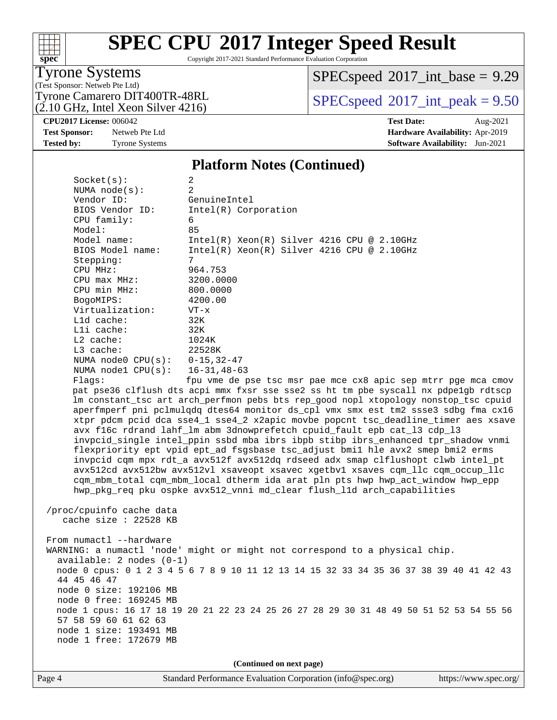Copyright 2017-2021 Standard Performance Evaluation Corporation

### Tyrone Systems

**[spec](http://www.spec.org/)**

 $+\!\!+\!\!$ 

(Test Sponsor: Netweb Pte Ltd)

(2.10 GHz, Intel Xeon Silver 4216)

 $SPECspeed^{\circ}2017\_int\_base = 9.29$  $SPECspeed^{\circ}2017\_int\_base = 9.29$ 

Tyrone Camarero DIT400TR-48RL  $\begin{array}{c|c}\n\text{SPEC speed} \textcirc 2017\n\text{ int } peak = 9.50\n\end{array}$ 

**[CPU2017 License:](http://www.spec.org/auto/cpu2017/Docs/result-fields.html#CPU2017License)** 006042 **[Test Date:](http://www.spec.org/auto/cpu2017/Docs/result-fields.html#TestDate)** Aug-2021

**[Test Sponsor:](http://www.spec.org/auto/cpu2017/Docs/result-fields.html#TestSponsor)** Netweb Pte Ltd **[Hardware Availability:](http://www.spec.org/auto/cpu2017/Docs/result-fields.html#HardwareAvailability)** Apr-2019 **[Tested by:](http://www.spec.org/auto/cpu2017/Docs/result-fields.html#Testedby)** Tyrone Systems **[Software Availability:](http://www.spec.org/auto/cpu2017/Docs/result-fields.html#SoftwareAvailability)** Jun-2021

#### **[Platform Notes \(Continued\)](http://www.spec.org/auto/cpu2017/Docs/result-fields.html#PlatformNotes)**

Socket(s): 2 NUMA node(s): 2 Vendor ID: GenuineIntel BIOS Vendor ID: Intel(R) Corporation CPU family: 6 Model: 85 Model name: Intel(R) Xeon(R) Silver 4216 CPU @ 2.10GHz<br>BIOS Model name: Intel(R) Xeon(R) Silver 4216 CPU @ 2.10GHz Intel(R) Xeon(R) Silver 4216 CPU @ 2.10GHz Stepping: 7 CPU MHz: 964.753 CPU max MHz: 3200.0000 CPU min MHz: 800.0000 BogoMIPS: 4200.00 Virtualization: VT-x L1d cache: 32K L1i cache: 32K L2 cache: 1024K L3 cache: 22528K NUMA node0 CPU(s): 0-15,32-47 NUMA node1 CPU(s): 16-31,48-63 Flags: fpu vme de pse tsc msr pae mce cx8 apic sep mtrr pge mca cmov pat pse36 clflush dts acpi mmx fxsr sse sse2 ss ht tm pbe syscall nx pdpe1gb rdtscp lm constant\_tsc art arch\_perfmon pebs bts rep\_good nopl xtopology nonstop\_tsc cpuid aperfmperf pni pclmulqdq dtes64 monitor ds\_cpl vmx smx est tm2 ssse3 sdbg fma cx16

 xtpr pdcm pcid dca sse4\_1 sse4\_2 x2apic movbe popcnt tsc\_deadline\_timer aes xsave avx f16c rdrand lahf\_lm abm 3dnowprefetch cpuid\_fault epb cat\_l3 cdp\_l3 invpcid\_single intel\_ppin ssbd mba ibrs ibpb stibp ibrs\_enhanced tpr\_shadow vnmi flexpriority ept vpid ept\_ad fsgsbase tsc\_adjust bmi1 hle avx2 smep bmi2 erms invpcid cqm mpx rdt\_a avx512f avx512dq rdseed adx smap clflushopt clwb intel\_pt avx512cd avx512bw avx512vl xsaveopt xsavec xgetbv1 xsaves cqm\_llc cqm\_occup\_llc cqm\_mbm\_total cqm\_mbm\_local dtherm ida arat pln pts hwp hwp\_act\_window hwp\_epp hwp\_pkg\_req pku ospke avx512\_vnni md\_clear flush\_l1d arch\_capabilities

 /proc/cpuinfo cache data cache size : 22528 KB

From numactl --hardware WARNING: a numactl 'node' might or might not correspond to a physical chip. available: 2 nodes (0-1) node 0 cpus: 0 1 2 3 4 5 6 7 8 9 10 11 12 13 14 15 32 33 34 35 36 37 38 39 40 41 42 43 44 45 46 47 node 0 size: 192106 MB node 0 free: 169245 MB node 1 cpus: 16 17 18 19 20 21 22 23 24 25 26 27 28 29 30 31 48 49 50 51 52 53 54 55 56 57 58 59 60 61 62 63 node 1 size: 193491 MB node 1 free: 172679 MB

**(Continued on next page)**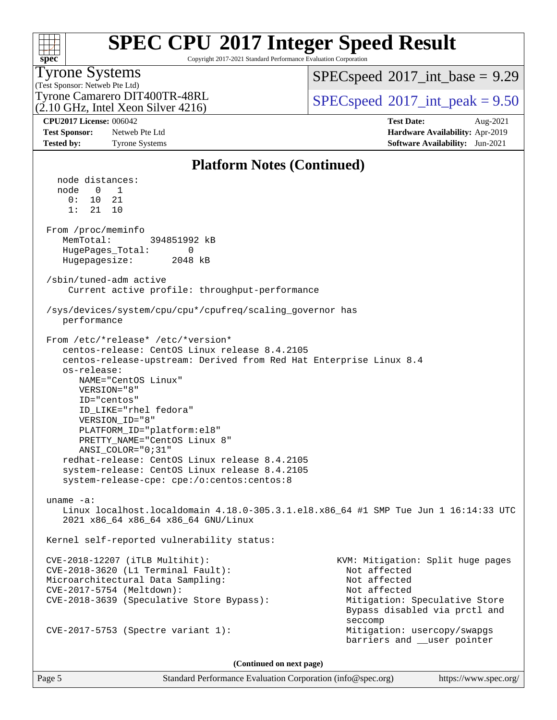| s | n | æ | U |  |
|---|---|---|---|--|

Copyright 2017-2021 Standard Performance Evaluation Corporation

### Tyrone Systems

(Test Sponsor: Netweb Pte Ltd) (2.10 GHz, Intel Xeon Silver 4216)  $SPECspeed^{\circ}2017\_int\_base = 9.29$  $SPECspeed^{\circ}2017\_int\_base = 9.29$ 

Tyrone Camarero DIT400TR-48RL  $\vert$  [SPECspeed](http://www.spec.org/auto/cpu2017/Docs/result-fields.html#SPECspeed2017intpeak)®[2017\\_int\\_peak = 9](http://www.spec.org/auto/cpu2017/Docs/result-fields.html#SPECspeed2017intpeak).50

**[CPU2017 License:](http://www.spec.org/auto/cpu2017/Docs/result-fields.html#CPU2017License)** 006042 **[Test Date:](http://www.spec.org/auto/cpu2017/Docs/result-fields.html#TestDate)** Aug-2021 **[Test Sponsor:](http://www.spec.org/auto/cpu2017/Docs/result-fields.html#TestSponsor)** Netweb Pte Ltd **[Hardware Availability:](http://www.spec.org/auto/cpu2017/Docs/result-fields.html#HardwareAvailability)** Apr-2019 **[Tested by:](http://www.spec.org/auto/cpu2017/Docs/result-fields.html#Testedby)** Tyrone Systems **[Software Availability:](http://www.spec.org/auto/cpu2017/Docs/result-fields.html#SoftwareAvailability)** Jun-2021

#### **[Platform Notes \(Continued\)](http://www.spec.org/auto/cpu2017/Docs/result-fields.html#PlatformNotes)** node distances: node 0 1 0: 10 21 1: 21 10 From /proc/meminfo MemTotal: 394851992 kB HugePages\_Total: 0 Hugepagesize: 2048 kB /sbin/tuned-adm active Current active profile: throughput-performance /sys/devices/system/cpu/cpu\*/cpufreq/scaling\_governor has performance From /etc/\*release\* /etc/\*version\* centos-release: CentOS Linux release 8.4.2105 centos-release-upstream: Derived from Red Hat Enterprise Linux 8.4 os-release: NAME="CentOS Linux" VERSION="8" ID="centos" ID\_LIKE="rhel fedora" VERSION\_ID="8" PLATFORM\_ID="platform:el8" PRETTY\_NAME="CentOS Linux 8" ANSI\_COLOR="0;31" redhat-release: CentOS Linux release 8.4.2105 system-release: CentOS Linux release 8.4.2105 system-release-cpe: cpe:/o:centos:centos:8 uname -a: Linux localhost.localdomain 4.18.0-305.3.1.el8.x86\_64 #1 SMP Tue Jun 1 16:14:33 UTC 2021 x86\_64 x86\_64 x86\_64 GNU/Linux Kernel self-reported vulnerability status: CVE-2018-12207 (iTLB Multihit): KVM: Mitigation: Split huge pages CVE-2018-3620 (L1 Terminal Fault): Not affected Microarchitectural Data Sampling: Not affected CVE-2017-5754 (Meltdown): Not affected CVE-2018-3639 (Speculative Store Bypass): Mitigation: Speculative Store Bypass disabled via prctl and seccomplex and the control of the control of the control of the control of the control of the control of the control of the control of the control of the control of the control of the control of the control of the control CVE-2017-5753 (Spectre variant 1): Mitigation: usercopy/swapgs barriers and \_\_user pointer

**(Continued on next page)**

Page 5 Standard Performance Evaluation Corporation [\(info@spec.org\)](mailto:info@spec.org) <https://www.spec.org/>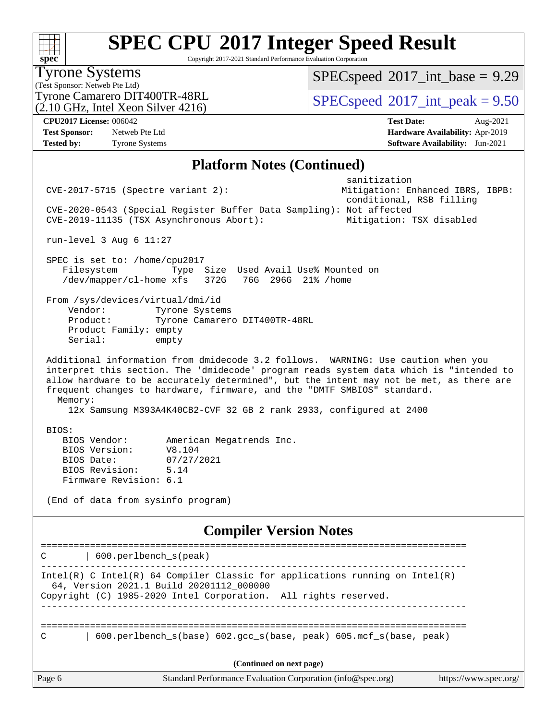**[spec](http://www.spec.org/)** Copyright 2017-2021 Standard Performance Evaluation Corporation (Test Sponsor: Netweb Pte Ltd) Tyrone Systems (2.10 GHz, Intel Xeon Silver 4216) Tyrone Camarero DIT400TR-48RL  $\begin{array}{c|c}\n\text{SPEC speed} \textcirc 2017\n\text{ int } peak = 9.50\n\end{array}$  $SPECspeed^{\circ}2017\_int\_base = 9.29$  $SPECspeed^{\circ}2017\_int\_base = 9.29$ **[CPU2017 License:](http://www.spec.org/auto/cpu2017/Docs/result-fields.html#CPU2017License)** 006042 **[Test Date:](http://www.spec.org/auto/cpu2017/Docs/result-fields.html#TestDate)** Aug-2021 **[Test Sponsor:](http://www.spec.org/auto/cpu2017/Docs/result-fields.html#TestSponsor)** Netweb Pte Ltd **[Hardware Availability:](http://www.spec.org/auto/cpu2017/Docs/result-fields.html#HardwareAvailability)** Apr-2019 **[Tested by:](http://www.spec.org/auto/cpu2017/Docs/result-fields.html#Testedby)** Tyrone Systems **[Software Availability:](http://www.spec.org/auto/cpu2017/Docs/result-fields.html#SoftwareAvailability)** Jun-2021 **[Platform Notes \(Continued\)](http://www.spec.org/auto/cpu2017/Docs/result-fields.html#PlatformNotes)** sanitization CVE-2017-5715 (Spectre variant 2): Mitigation: Enhanced IBRS, IBPB: conditional, RSB filling CVE-2020-0543 (Special Register Buffer Data Sampling): Not affected CVE-2019-11135 (TSX Asynchronous Abort): Mitigation: TSX disabled run-level 3 Aug 6 11:27 SPEC is set to: /home/cpu2017 Filesystem Type Size Used Avail Use% Mounted on /dev/mapper/cl-home xfs 372G 76G 296G 21% /home From /sys/devices/virtual/dmi/id Vendor: Tyrone Systems Product: Tyrone Camarero DIT400TR-48RL Product Family: empty Serial: empty Additional information from dmidecode 3.2 follows. WARNING: Use caution when you interpret this section. The 'dmidecode' program reads system data which is "intended to allow hardware to be accurately determined", but the intent may not be met, as there are frequent changes to hardware, firmware, and the "DMTF SMBIOS" standard. Memory: 12x Samsung M393A4K40CB2-CVF 32 GB 2 rank 2933, configured at 2400 BIOS: BIOS Vendor: American Megatrends Inc. BIOS Version: V8.104 BIOS Date: 07/27/2021 BIOS Revision: 5.14

(End of data from sysinfo program)

Firmware Revision: 6.1

**[Compiler Version Notes](http://www.spec.org/auto/cpu2017/Docs/result-fields.html#CompilerVersionNotes)**

Page 6 Standard Performance Evaluation Corporation [\(info@spec.org\)](mailto:info@spec.org) <https://www.spec.org/> ============================================================================== C | 600.perlbench\_s(peak) ------------------------------------------------------------------------------ Intel(R) C Intel(R) 64 Compiler Classic for applications running on Intel(R) 64, Version 2021.1 Build 20201112\_000000 Copyright (C) 1985-2020 Intel Corporation. All rights reserved. ------------------------------------------------------------------------------ ============================================================================== C | 600.perlbench\_s(base) 602.gcc\_s(base, peak) 605.mcf\_s(base, peak) **(Continued on next page)**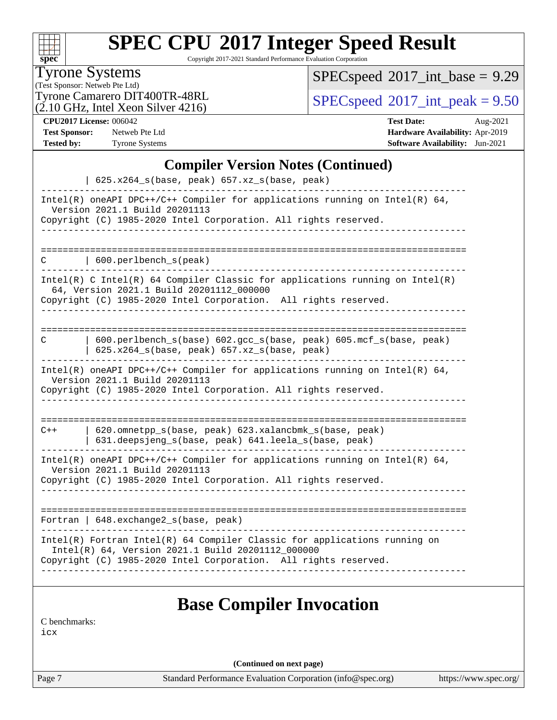| SI | U | e | Ľ |  |
|----|---|---|---|--|

Copyright 2017-2021 Standard Performance Evaluation Corporation

Tyrone Systems

(Test Sponsor: Netweb Pte Ltd)

 $(2.10 \text{ GHz}, \text{Intel Xeon Silver } 4216)$ 

 $SPEC speed$ <sup>®</sup> $2017$ \_int\_base = 9.29

Tyrone Camarero DIT400TR-48RL  $\begin{array}{c|c}\n\text{SPEC speed} \textcirc 2017\_int\_peak = 9.50 \\
\text{SPEC speed} \textcirc 2017\_int\_peak = 9.50\n\end{array}$ 

**[CPU2017 License:](http://www.spec.org/auto/cpu2017/Docs/result-fields.html#CPU2017License)** 006042 **[Test Date:](http://www.spec.org/auto/cpu2017/Docs/result-fields.html#TestDate)** Aug-2021 **[Test Sponsor:](http://www.spec.org/auto/cpu2017/Docs/result-fields.html#TestSponsor)** Netweb Pte Ltd **[Hardware Availability:](http://www.spec.org/auto/cpu2017/Docs/result-fields.html#HardwareAvailability)** Apr-2019 **[Tested by:](http://www.spec.org/auto/cpu2017/Docs/result-fields.html#Testedby)** Tyrone Systems **[Software Availability:](http://www.spec.org/auto/cpu2017/Docs/result-fields.html#SoftwareAvailability)** Jun-2021

#### **[Compiler Version Notes \(Continued\)](http://www.spec.org/auto/cpu2017/Docs/result-fields.html#CompilerVersionNotes)**

| 625.x264_s(base, peak) 657.xz_s(base, peak)                                                                                                                                                       |
|---------------------------------------------------------------------------------------------------------------------------------------------------------------------------------------------------|
| Intel(R) oneAPI DPC++/C++ Compiler for applications running on Intel(R) $64$ ,<br>Version 2021.1 Build 20201113<br>Copyright (C) 1985-2020 Intel Corporation. All rights reserved.                |
|                                                                                                                                                                                                   |
| 600.perlbench_s(peak)<br>C                                                                                                                                                                        |
| Intel(R) C Intel(R) 64 Compiler Classic for applications running on Intel(R)<br>64, Version 2021.1 Build 20201112 000000<br>Copyright (C) 1985-2020 Intel Corporation. All rights reserved.       |
|                                                                                                                                                                                                   |
| 600.perlbench_s(base) 602.gcc_s(base, peak) 605.mcf_s(base, peak)<br>С<br>$625.x264_s(base, peak)$ $657.xz_s(base, peak)$                                                                         |
| Intel(R) oneAPI DPC++/C++ Compiler for applications running on Intel(R) 64,<br>Version 2021.1 Build 20201113<br>Copyright (C) 1985-2020 Intel Corporation. All rights reserved.                   |
|                                                                                                                                                                                                   |
| 620.omnetpp_s(base, peak) 623.xalancbmk_s(base, peak)<br>$C++$<br>631.deepsjeng_s(base, peak) 641.leela_s(base, peak)                                                                             |
| Intel(R) oneAPI DPC++/C++ Compiler for applications running on Intel(R) 64,<br>Version 2021.1 Build 20201113                                                                                      |
| Copyright (C) 1985-2020 Intel Corporation. All rights reserved.                                                                                                                                   |
| Fortran   648. exchange2_s(base, peak)                                                                                                                                                            |
|                                                                                                                                                                                                   |
| Intel(R) Fortran Intel(R) 64 Compiler Classic for applications running on<br>Intel(R) 64, Version 2021.1 Build 20201112_000000<br>Copyright (C) 1985-2020 Intel Corporation. All rights reserved. |
|                                                                                                                                                                                                   |
| <b>Base Compiler Invocation</b>                                                                                                                                                                   |
| C benchmarks:                                                                                                                                                                                     |

[icx](http://www.spec.org/cpu2017/results/res2021q3/cpu2017-20210824-28893.flags.html#user_CCbase_intel_icx_fe2d28d19ae2a5db7c42fe0f2a2aed77cb715edd4aeb23434404a8be6683fe239869bb6ca8154ca98265c2e3b9226a719a0efe2953a4a7018c379b7010ccf087)

**(Continued on next page)**

Page 7 Standard Performance Evaluation Corporation [\(info@spec.org\)](mailto:info@spec.org) <https://www.spec.org/>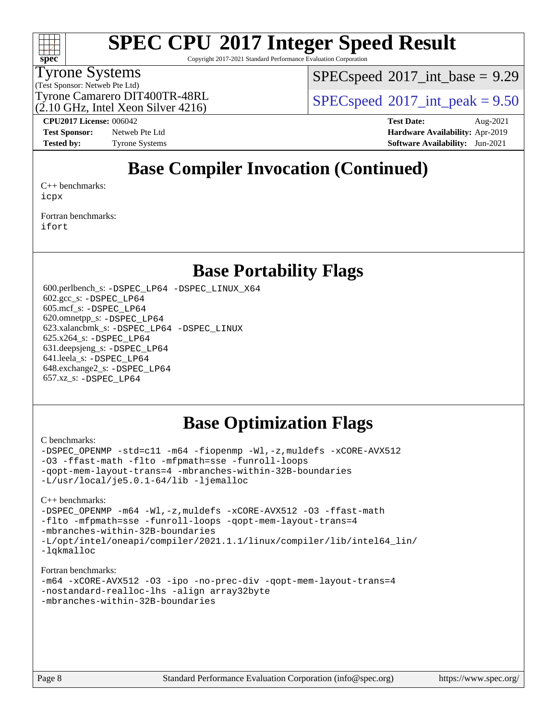

Copyright 2017-2021 Standard Performance Evaluation Corporation

### Tyrone Systems

(Test Sponsor: Netweb Pte Ltd)

 $SPECspeed^{\circ}2017\_int\_base = 9.29$  $SPECspeed^{\circ}2017\_int\_base = 9.29$ 

Tyrone Camarero DIT400TR-48RL  $\begin{array}{c|c}\n\text{SPEC speed} \textcirc 2017\n\text{ int } peak = 9.50\n\end{array}$ 

(2.10 GHz, Intel Xeon Silver 4216)

**[Test Sponsor:](http://www.spec.org/auto/cpu2017/Docs/result-fields.html#TestSponsor)** Netweb Pte Ltd **[Hardware Availability:](http://www.spec.org/auto/cpu2017/Docs/result-fields.html#HardwareAvailability)** Apr-2019

**[CPU2017 License:](http://www.spec.org/auto/cpu2017/Docs/result-fields.html#CPU2017License)** 006042 **[Test Date:](http://www.spec.org/auto/cpu2017/Docs/result-fields.html#TestDate)** Aug-2021 **[Tested by:](http://www.spec.org/auto/cpu2017/Docs/result-fields.html#Testedby)** Tyrone Systems **[Software Availability:](http://www.spec.org/auto/cpu2017/Docs/result-fields.html#SoftwareAvailability)** Jun-2021

### **[Base Compiler Invocation \(Continued\)](http://www.spec.org/auto/cpu2017/Docs/result-fields.html#BaseCompilerInvocation)**

[C++ benchmarks:](http://www.spec.org/auto/cpu2017/Docs/result-fields.html#CXXbenchmarks) [icpx](http://www.spec.org/cpu2017/results/res2021q3/cpu2017-20210824-28893.flags.html#user_CXXbase_intel_icpx_1e918ed14c436bf4b9b7c8bcdd51d4539fc71b3df010bd1e9f8732d9c34c2b2914e48204a846820f3c0ebb4095dea797a5c30b458ac0b6dffac65d78f781f5ca)

[Fortran benchmarks](http://www.spec.org/auto/cpu2017/Docs/result-fields.html#Fortranbenchmarks): [ifort](http://www.spec.org/cpu2017/results/res2021q3/cpu2017-20210824-28893.flags.html#user_FCbase_intel_ifort_8111460550e3ca792625aed983ce982f94888b8b503583aa7ba2b8303487b4d8a21a13e7191a45c5fd58ff318f48f9492884d4413fa793fd88dd292cad7027ca)

### **[Base Portability Flags](http://www.spec.org/auto/cpu2017/Docs/result-fields.html#BasePortabilityFlags)**

 600.perlbench\_s: [-DSPEC\\_LP64](http://www.spec.org/cpu2017/results/res2021q3/cpu2017-20210824-28893.flags.html#b600.perlbench_s_basePORTABILITY_DSPEC_LP64) [-DSPEC\\_LINUX\\_X64](http://www.spec.org/cpu2017/results/res2021q3/cpu2017-20210824-28893.flags.html#b600.perlbench_s_baseCPORTABILITY_DSPEC_LINUX_X64) 602.gcc\_s: [-DSPEC\\_LP64](http://www.spec.org/cpu2017/results/res2021q3/cpu2017-20210824-28893.flags.html#suite_basePORTABILITY602_gcc_s_DSPEC_LP64) 605.mcf\_s: [-DSPEC\\_LP64](http://www.spec.org/cpu2017/results/res2021q3/cpu2017-20210824-28893.flags.html#suite_basePORTABILITY605_mcf_s_DSPEC_LP64) 620.omnetpp\_s: [-DSPEC\\_LP64](http://www.spec.org/cpu2017/results/res2021q3/cpu2017-20210824-28893.flags.html#suite_basePORTABILITY620_omnetpp_s_DSPEC_LP64) 623.xalancbmk\_s: [-DSPEC\\_LP64](http://www.spec.org/cpu2017/results/res2021q3/cpu2017-20210824-28893.flags.html#suite_basePORTABILITY623_xalancbmk_s_DSPEC_LP64) [-DSPEC\\_LINUX](http://www.spec.org/cpu2017/results/res2021q3/cpu2017-20210824-28893.flags.html#b623.xalancbmk_s_baseCXXPORTABILITY_DSPEC_LINUX) 625.x264\_s: [-DSPEC\\_LP64](http://www.spec.org/cpu2017/results/res2021q3/cpu2017-20210824-28893.flags.html#suite_basePORTABILITY625_x264_s_DSPEC_LP64) 631.deepsjeng\_s: [-DSPEC\\_LP64](http://www.spec.org/cpu2017/results/res2021q3/cpu2017-20210824-28893.flags.html#suite_basePORTABILITY631_deepsjeng_s_DSPEC_LP64) 641.leela\_s: [-DSPEC\\_LP64](http://www.spec.org/cpu2017/results/res2021q3/cpu2017-20210824-28893.flags.html#suite_basePORTABILITY641_leela_s_DSPEC_LP64) 648.exchange2\_s: [-DSPEC\\_LP64](http://www.spec.org/cpu2017/results/res2021q3/cpu2017-20210824-28893.flags.html#suite_basePORTABILITY648_exchange2_s_DSPEC_LP64) 657.xz\_s: [-DSPEC\\_LP64](http://www.spec.org/cpu2017/results/res2021q3/cpu2017-20210824-28893.flags.html#suite_basePORTABILITY657_xz_s_DSPEC_LP64)

### **[Base Optimization Flags](http://www.spec.org/auto/cpu2017/Docs/result-fields.html#BaseOptimizationFlags)**

#### [C benchmarks](http://www.spec.org/auto/cpu2017/Docs/result-fields.html#Cbenchmarks):

[-DSPEC\\_OPENMP](http://www.spec.org/cpu2017/results/res2021q3/cpu2017-20210824-28893.flags.html#suite_CCbase_DSPEC_OPENMP) [-std=c11](http://www.spec.org/cpu2017/results/res2021q3/cpu2017-20210824-28893.flags.html#user_CCbase_std-icc-std_0e1c27790398a4642dfca32ffe6c27b5796f9c2d2676156f2e42c9c44eaad0c049b1cdb667a270c34d979996257aeb8fc440bfb01818dbc9357bd9d174cb8524) [-m64](http://www.spec.org/cpu2017/results/res2021q3/cpu2017-20210824-28893.flags.html#user_CCbase_m64-icc) [-fiopenmp](http://www.spec.org/cpu2017/results/res2021q3/cpu2017-20210824-28893.flags.html#user_CCbase_fiopenmp_4cde26b3fcccd23bd0bb70af4efc204325d72839eefa1147e34201101709f20b3deb62aad96701dea148529bf4ca48c90b72f3bf837ca148e297cf8a0ba6feb7) [-Wl,-z,muldefs](http://www.spec.org/cpu2017/results/res2021q3/cpu2017-20210824-28893.flags.html#user_CCbase_link_force_multiple1_b4cbdb97b34bdee9ceefcfe54f4c8ea74255f0b02a4b23e853cdb0e18eb4525ac79b5a88067c842dd0ee6996c24547a27a4b99331201badda8798ef8a743f577) [-xCORE-AVX512](http://www.spec.org/cpu2017/results/res2021q3/cpu2017-20210824-28893.flags.html#user_CCbase_f-xCORE-AVX512) [-O3](http://www.spec.org/cpu2017/results/res2021q3/cpu2017-20210824-28893.flags.html#user_CCbase_f-O3) [-ffast-math](http://www.spec.org/cpu2017/results/res2021q3/cpu2017-20210824-28893.flags.html#user_CCbase_f-ffast-math) [-flto](http://www.spec.org/cpu2017/results/res2021q3/cpu2017-20210824-28893.flags.html#user_CCbase_f-flto) [-mfpmath=sse](http://www.spec.org/cpu2017/results/res2021q3/cpu2017-20210824-28893.flags.html#user_CCbase_f-mfpmath_70eb8fac26bde974f8ab713bc9086c5621c0b8d2f6c86f38af0bd7062540daf19db5f3a066d8c6684be05d84c9b6322eb3b5be6619d967835195b93d6c02afa1) [-funroll-loops](http://www.spec.org/cpu2017/results/res2021q3/cpu2017-20210824-28893.flags.html#user_CCbase_f-funroll-loops) [-qopt-mem-layout-trans=4](http://www.spec.org/cpu2017/results/res2021q3/cpu2017-20210824-28893.flags.html#user_CCbase_f-qopt-mem-layout-trans_fa39e755916c150a61361b7846f310bcdf6f04e385ef281cadf3647acec3f0ae266d1a1d22d972a7087a248fd4e6ca390a3634700869573d231a252c784941a8) [-mbranches-within-32B-boundaries](http://www.spec.org/cpu2017/results/res2021q3/cpu2017-20210824-28893.flags.html#user_CCbase_f-mbranches-within-32B-boundaries) [-L/usr/local/je5.0.1-64/lib](http://www.spec.org/cpu2017/results/res2021q3/cpu2017-20210824-28893.flags.html#user_CCbase_jemalloc_link_path64_4b10a636b7bce113509b17f3bd0d6226c5fb2346b9178c2d0232c14f04ab830f976640479e5c33dc2bcbbdad86ecfb6634cbbd4418746f06f368b512fced5394) [-ljemalloc](http://www.spec.org/cpu2017/results/res2021q3/cpu2017-20210824-28893.flags.html#user_CCbase_jemalloc_link_lib_d1249b907c500fa1c0672f44f562e3d0f79738ae9e3c4a9c376d49f265a04b9c99b167ecedbf6711b3085be911c67ff61f150a17b3472be731631ba4d0471706)

[C++ benchmarks:](http://www.spec.org/auto/cpu2017/Docs/result-fields.html#CXXbenchmarks)

[-DSPEC\\_OPENMP](http://www.spec.org/cpu2017/results/res2021q3/cpu2017-20210824-28893.flags.html#suite_CXXbase_DSPEC_OPENMP) [-m64](http://www.spec.org/cpu2017/results/res2021q3/cpu2017-20210824-28893.flags.html#user_CXXbase_m64-icc) [-Wl,-z,muldefs](http://www.spec.org/cpu2017/results/res2021q3/cpu2017-20210824-28893.flags.html#user_CXXbase_link_force_multiple1_b4cbdb97b34bdee9ceefcfe54f4c8ea74255f0b02a4b23e853cdb0e18eb4525ac79b5a88067c842dd0ee6996c24547a27a4b99331201badda8798ef8a743f577) [-xCORE-AVX512](http://www.spec.org/cpu2017/results/res2021q3/cpu2017-20210824-28893.flags.html#user_CXXbase_f-xCORE-AVX512) [-O3](http://www.spec.org/cpu2017/results/res2021q3/cpu2017-20210824-28893.flags.html#user_CXXbase_f-O3) [-ffast-math](http://www.spec.org/cpu2017/results/res2021q3/cpu2017-20210824-28893.flags.html#user_CXXbase_f-ffast-math) [-flto](http://www.spec.org/cpu2017/results/res2021q3/cpu2017-20210824-28893.flags.html#user_CXXbase_f-flto) [-mfpmath=sse](http://www.spec.org/cpu2017/results/res2021q3/cpu2017-20210824-28893.flags.html#user_CXXbase_f-mfpmath_70eb8fac26bde974f8ab713bc9086c5621c0b8d2f6c86f38af0bd7062540daf19db5f3a066d8c6684be05d84c9b6322eb3b5be6619d967835195b93d6c02afa1) [-funroll-loops](http://www.spec.org/cpu2017/results/res2021q3/cpu2017-20210824-28893.flags.html#user_CXXbase_f-funroll-loops) [-qopt-mem-layout-trans=4](http://www.spec.org/cpu2017/results/res2021q3/cpu2017-20210824-28893.flags.html#user_CXXbase_f-qopt-mem-layout-trans_fa39e755916c150a61361b7846f310bcdf6f04e385ef281cadf3647acec3f0ae266d1a1d22d972a7087a248fd4e6ca390a3634700869573d231a252c784941a8) [-mbranches-within-32B-boundaries](http://www.spec.org/cpu2017/results/res2021q3/cpu2017-20210824-28893.flags.html#user_CXXbase_f-mbranches-within-32B-boundaries) [-L/opt/intel/oneapi/compiler/2021.1.1/linux/compiler/lib/intel64\\_lin/](http://www.spec.org/cpu2017/results/res2021q3/cpu2017-20210824-28893.flags.html#user_CXXbase_linkpath_765a8c93c4ea33dfc565a33ecb48f4f7d02a6338709b3b362f341eb203a06426ce1d12ded4c7809f6ab6cf0e9f5515cffeb4efc405b63f85dc27a83bbbdeb3a3) [-lqkmalloc](http://www.spec.org/cpu2017/results/res2021q3/cpu2017-20210824-28893.flags.html#user_CXXbase_qkmalloc_link_lib_79a818439969f771c6bc311cfd333c00fc099dad35c030f5aab9dda831713d2015205805422f83de8875488a2991c0a156aaa600e1f9138f8fc37004abc96dc5)

#### [Fortran benchmarks](http://www.spec.org/auto/cpu2017/Docs/result-fields.html#Fortranbenchmarks):

```
-m64 -xCORE-AVX512 -O3 -ipo -no-prec-div -qopt-mem-layout-trans=4
-nostandard-realloc-lhs -align array32byte
-mbranches-within-32B-boundaries
```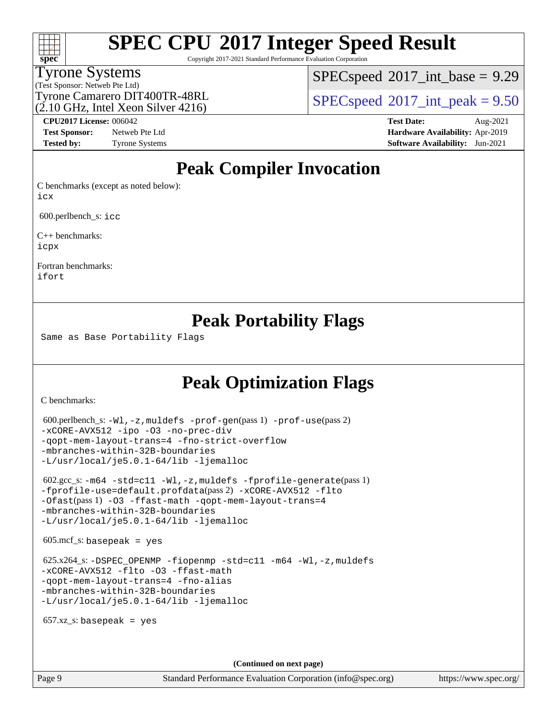# **[spec](http://www.spec.org/)**

# **[SPEC CPU](http://www.spec.org/auto/cpu2017/Docs/result-fields.html#SPECCPU2017IntegerSpeedResult)[2017 Integer Speed Result](http://www.spec.org/auto/cpu2017/Docs/result-fields.html#SPECCPU2017IntegerSpeedResult)**

Copyright 2017-2021 Standard Performance Evaluation Corporation

#### Tyrone Systems

 $SPECspeed^{\circ}2017\_int\_base = 9.29$  $SPECspeed^{\circ}2017\_int\_base = 9.29$ 

(Test Sponsor: Netweb Pte Ltd) (2.10 GHz, Intel Xeon Silver 4216)

Tyrone Camarero DIT400TR-48RL  $\begin{array}{c|c}\n\text{SPEC speed} \textcirc 2017\n\text{ int } peak = 9.50\n\end{array}$ 

**[Test Sponsor:](http://www.spec.org/auto/cpu2017/Docs/result-fields.html#TestSponsor)** Netweb Pte Ltd **[Hardware Availability:](http://www.spec.org/auto/cpu2017/Docs/result-fields.html#HardwareAvailability)** Apr-2019

**[CPU2017 License:](http://www.spec.org/auto/cpu2017/Docs/result-fields.html#CPU2017License)** 006042 **[Test Date:](http://www.spec.org/auto/cpu2017/Docs/result-fields.html#TestDate)** Aug-2021 **[Tested by:](http://www.spec.org/auto/cpu2017/Docs/result-fields.html#Testedby)** Tyrone Systems **[Software Availability:](http://www.spec.org/auto/cpu2017/Docs/result-fields.html#SoftwareAvailability)** Jun-2021

### **[Peak Compiler Invocation](http://www.spec.org/auto/cpu2017/Docs/result-fields.html#PeakCompilerInvocation)**

[C benchmarks \(except as noted below\)](http://www.spec.org/auto/cpu2017/Docs/result-fields.html#Cbenchmarksexceptasnotedbelow): [icx](http://www.spec.org/cpu2017/results/res2021q3/cpu2017-20210824-28893.flags.html#user_CCpeak_intel_icx_fe2d28d19ae2a5db7c42fe0f2a2aed77cb715edd4aeb23434404a8be6683fe239869bb6ca8154ca98265c2e3b9226a719a0efe2953a4a7018c379b7010ccf087)

600.perlbench\_s: [icc](http://www.spec.org/cpu2017/results/res2021q3/cpu2017-20210824-28893.flags.html#user_peakCCLD600_perlbench_s_intel_icc_66fc1ee009f7361af1fbd72ca7dcefbb700085f36577c54f309893dd4ec40d12360134090235512931783d35fd58c0460139e722d5067c5574d8eaf2b3e37e92)

[C++ benchmarks:](http://www.spec.org/auto/cpu2017/Docs/result-fields.html#CXXbenchmarks) [icpx](http://www.spec.org/cpu2017/results/res2021q3/cpu2017-20210824-28893.flags.html#user_CXXpeak_intel_icpx_1e918ed14c436bf4b9b7c8bcdd51d4539fc71b3df010bd1e9f8732d9c34c2b2914e48204a846820f3c0ebb4095dea797a5c30b458ac0b6dffac65d78f781f5ca)

[Fortran benchmarks](http://www.spec.org/auto/cpu2017/Docs/result-fields.html#Fortranbenchmarks): [ifort](http://www.spec.org/cpu2017/results/res2021q3/cpu2017-20210824-28893.flags.html#user_FCpeak_intel_ifort_8111460550e3ca792625aed983ce982f94888b8b503583aa7ba2b8303487b4d8a21a13e7191a45c5fd58ff318f48f9492884d4413fa793fd88dd292cad7027ca)

### **[Peak Portability Flags](http://www.spec.org/auto/cpu2017/Docs/result-fields.html#PeakPortabilityFlags)**

Same as Base Portability Flags

### **[Peak Optimization Flags](http://www.spec.org/auto/cpu2017/Docs/result-fields.html#PeakOptimizationFlags)**

[C benchmarks](http://www.spec.org/auto/cpu2017/Docs/result-fields.html#Cbenchmarks):

```
 600.perlbench_s: -Wl,-z,muldefs -prof-gen(pass 1) -prof-use(pass 2)
-xCORE-AVX512 -ipo -O3 -no-prec-div
-qopt-mem-layout-trans=4 -fno-strict-overflow
-mbranches-within-32B-boundaries
-L/usr/local/je5.0.1-64/lib -ljemalloc
 602.gcc_s: -m64 -std=c11 -Wl,-z,muldefs -fprofile-generate(pass 1)
-fprofile-use=default.profdata(pass 2) -xCORE-AVX512 -flto
-Ofast(pass 1) -O3 -ffast-math -qopt-mem-layout-trans=4
-mbranches-within-32B-boundaries
-L/usr/local/je5.0.1-64/lib -ljemalloc
605 \text{.mcf}\text{-}\mathrm{s}: basepeak = yes
625.x264-fiopenmp-std=c11-m64-Wl,-z,muldefs
-xCORE-AVX512 -flto -O3 -ffast-math
-qopt-mem-layout-trans=4 -fno-alias
-mbranches-within-32B-boundaries
-L/usr/local/je5.0.1-64/lib -ljemalloc
657.xz s: basepeak = yes
                                     (Continued on next page)
```